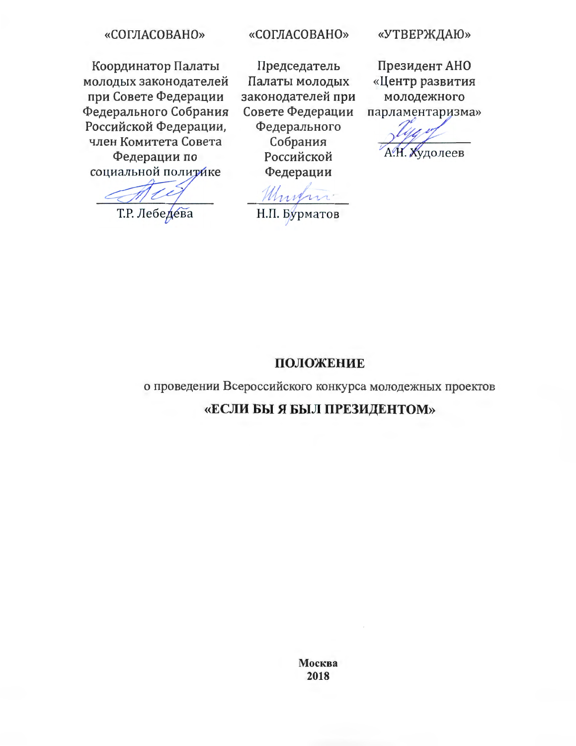#### «СОГЛАСОВАНО»

Координатор Палаты молодых законодателей при Совете Федерации Федерального Собрания Российской Федерации, член Комитета Совета Федерации по социальной политике

Т.Р. Лебедева

#### «СОГЛАСОВАНО»

Председатель Палаты молодых законодателей при Совете Федерации Федерального Собрания Российской Федерации

Н.П. Бурматов

#### «УТВЕРЖДАЮ»

Президент АНО «Центр развития молодежного парламентаризма»

удолеев

# ПОЛОЖЕНИЕ

о проведении Всероссийского конкурса молодежных проектов

# «ЕСЛИ БЫ Я БЫЛ ПРЕЗИДЕНТОМ»

Москва 2018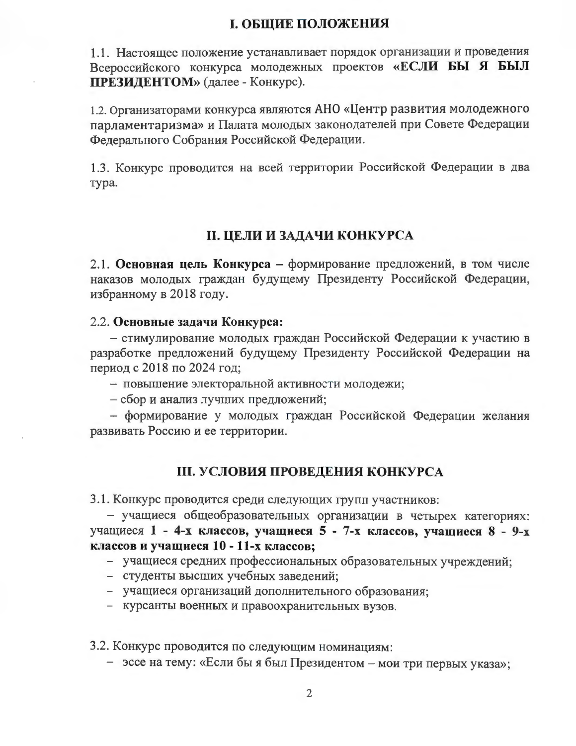## І. ОБЩИЕ ПОЛОЖЕНИЯ

1.1. Настоящее положение устанавливает порядок организации и проведения Всероссийского конкурса молодежных проектов «ЕСЛИ БЫ Я БЫЛ **ПРЕЗИДЕНТОМ**» (далее - Конкурс).

1.2. Организаторами конкурса являются АНО «Центр развития молодежного парламентаризма» и Палата молодых законодателей при Совете Федерации Федерального Собрания Российской Федерации.

1.3. Конкурс проводится на всей территории Российской Федерации в два тура.

# **II. ЦЕЛИ И ЗАДАЧИ КОНКУРСА**

2.1. Основная цель Конкурса - формирование предложений, в том числе наказов молодых граждан будущему Президенту Российской Федерации, избранному в 2018 году.

#### 2.2. Основные задачи Конкурса:

- стимулирование молодых граждан Российской Федерации к участию в разработке предложений будущему Президенту Российской Федерации на период с 2018 по 2024 год;

- повышение электоральной активности молодежи;
- сбор и анализ лучших предложений;

- формирование у молодых граждан Российской Федерации желания развивать Россию и ее территории.

## **III. УСЛОВИЯ ПРОВЕДЕНИЯ КОНКУРСА**

3.1. Конкурс проводится среди следующих групп участников:

- учащиеся общеобразовательных организации в четырех категориях: учащиеся 1 - 4-х классов, учащиеся 5 - 7-х классов, учащиеся 8 - 9-х классов и учащиеся 10 - 11-х классов;

- учащиеся средних профессиональных образовательных учреждений;

- студенты высших учебных заведений;
- учащиеся организаций дополнительного образования;
- курсанты военных и правоохранительных вузов.

3.2. Конкурс проводится по следующим номинациям:

- эссе на тему: «Если бы я был Президентом – мои три первых указа»;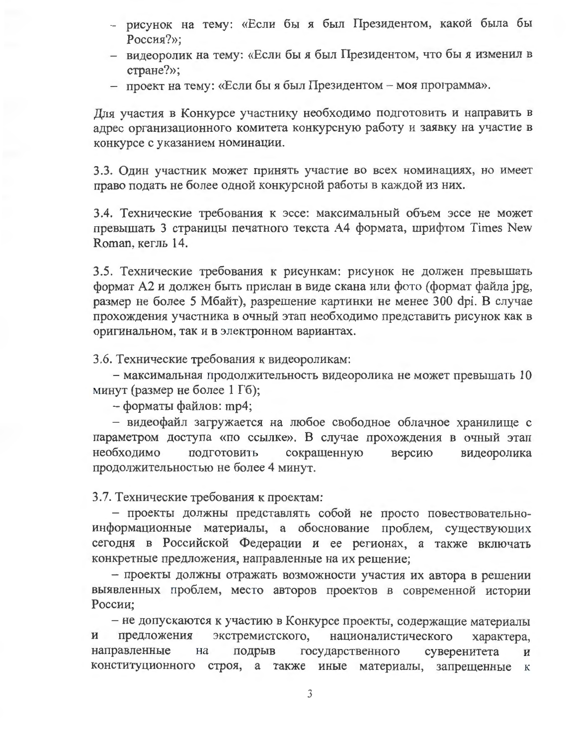- рисунок на тему: «Если бы я был Президентом, какой была бы Россия?»;
- видеоролик на тему: «Если бы я был Президентом, что бы я изменил в стране?»;
- проект на тему: «Если бы я был Президентом моя программа».

Для участия в Конкурсе участнику необходимо подготовить и направить в адрес организационного комитета конкурсную работу и заявку на участие в конкурсе с указанием номинации.

3.3. Один участник может принять участие во всех номинациях, но имеет право подать не более одной конкурсной работы в каждой из них.

3.4. Технические требования к эссе: максимальный объем эссе не может превышать 3 страницы печатного текста A4 формата, шрифтом Times New Roman, кегль 14.

3.5. Технические требования к рисункам: рисунок не должен превышать формат А2 и должен быть прислан в виде скана или фото (формат файла jpg, размер не более 5 Мбайт), разрешение картинки не менее 300 dpi. В случае прохождения участника в очный этап необходимо представить рисунок как в оригинальном, так и в электронном вариантах.

3.6. Технические требования к видеороликам:

- максимальная продолжительность видеоролика не может превышать 10 минут (размер не более 1 Гб);

- форматы файлов: mp4;

- видеофайл загружается на любое свободное облачное хранилище с параметром доступа «по ссылке». В случае прохождения в очный этап необходимо ПОДГОТОВИТЬ сокращенную версию видеоролика продолжительностью не более 4 минут.

3.7. Технические требования к проектам:

- проекты должны представлять собой не просто повествовательноинформационные материалы, а обоснование проблем, существующих сегодня в Российской Федерации и ее регионах, а также включать конкретные предложения, направленные на их решение;

- проекты должны отражать возможности участия их автора в решении выявленных проблем, место авторов проектов в современной истории России;

- не допускаются к участию в Конкурсе проекты, содержащие материалы предложения экстремистского, националистического  $\mathbf H$ характера, направленные Ha подрыв государственного суверенитета И конституционного строя, а также иные материалы, запрещенные  ${\bf K}$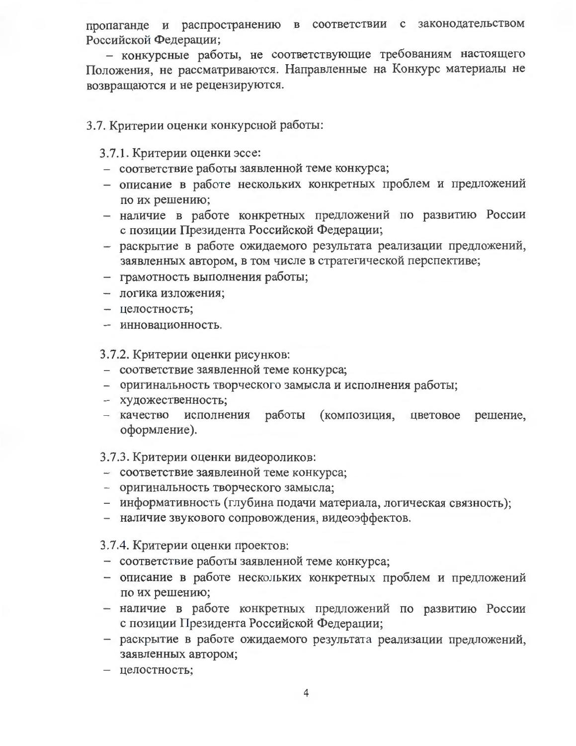пропаганде и распространению в соответствии с законодательством Российской Федерации;

- конкурсные работы, не соответствующие требованиям настоящего Положения, не рассматриваются. Направленные на Конкурс материалы не возвращаются и не рецензируются.

#### 3.7. Критерии оценки конкурсной работы:

3.7.1. Критерии оценки эссе:

- соответствие работы заявленной теме конкурса;
- описание в работе нескольких конкретных проблем и предложений по их решению;
- наличие в работе конкретных предложений по развитию России с позиции Президента Российской Федерации;
- раскрытие в работе ожидаемого результата реализации предложений, заявленных автором, в том числе в стратегической перспективе;
- грамотность выполнения работы;
- логика изложения;
- целостность;
- инновационность.

3.7.2. Критерии оценки рисунков:

- соответствие заявленной теме конкурса;
- оригинальность творческого замысла и исполнения работы;
- художественность;
- исполнения работы (композиция, цветовое решение, - качество оформление).

#### 3.7.3. Критерии оценки видеороликов:

- соответствие заявленной теме конкурса;
- оригинальность творческого замысла;
- информативность (глубина подачи материала, логическая связность);
- наличие звукового сопровождения, видеоэффектов.

3.7.4. Критерии оценки проектов:

- соответствие работы заявленной теме конкурса;
- описание в работе нескольких конкретных проблем и предложений по их решению;
- наличие в работе конкретных предложений по развитию России с позиции Президента Российской Федерации;
- раскрытие в работе ожидаемого результата реализации предложений, заявленных автором;
- целостность;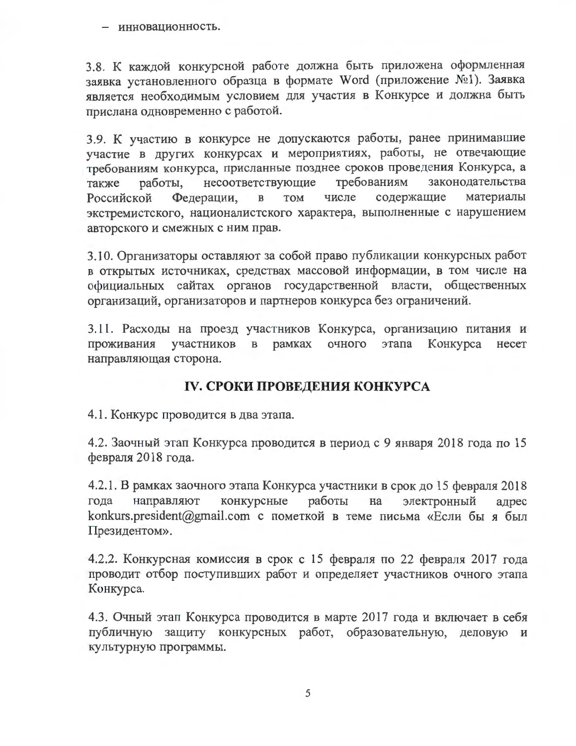- инновационность.

3.8. К каждой конкурсной работе должна быть приложена оформленная заявка установленного образца в формате Word (приложение №1). Заявка является необходимым условием для участия в Конкурсе и должна быть прислана одновременно с работой.

3.9. К участию в конкурсе не допускаются работы, ранее принимавшие участие в других конкурсах и мероприятиях, работы, не отвечающие требованиям конкурса, присланные позднее сроков проведения Конкурса, а несоответствующие требованиям законодательства работы, также содержащие материалы Федерации, **TOM** числе Российской  $\, {\bf B}$ экстремистского, националистского характера, выполненные с нарушением авторского и смежных с ним прав.

3.10. Организаторы оставляют за собой право публикации конкурсных работ в открытых источниках, средствах массовой информации, в том числе на официальных сайтах органов государственной власти, общественных организаций, организаторов и партнеров конкурса без ограничений.

3.11. Расходы на проезд участников Конкурса, организацию питания и проживания участников  $\mathbf B$ рамках очного этапа Конкурса несет направляющая сторона.

# **IV. СРОКИ ПРОВЕДЕНИЯ КОНКУРСА**

4.1. Конкурс проводится в два этапа.

4.2. Заочный этап Конкурса проводится в период с 9 января 2018 года по 15 февраля 2018 года.

4.2.1. В рамках заочного этапа Конкурса участники в срок до 15 февраля 2018 электронный направляют конкурсные работы на года адрес konkurs.president@gmail.com с пометкой в теме письма «Если бы я был Президентом».

4.2.2. Конкурсная комиссия в срок с 15 февраля по 22 февраля 2017 года проводит отбор поступивших работ и определяет участников очного этапа Конкурса.

4.3. Очный этап Конкурса проводится в марте 2017 года и включает в себя публичную защиту конкурсных работ, образовательную, деловую и культурную программы.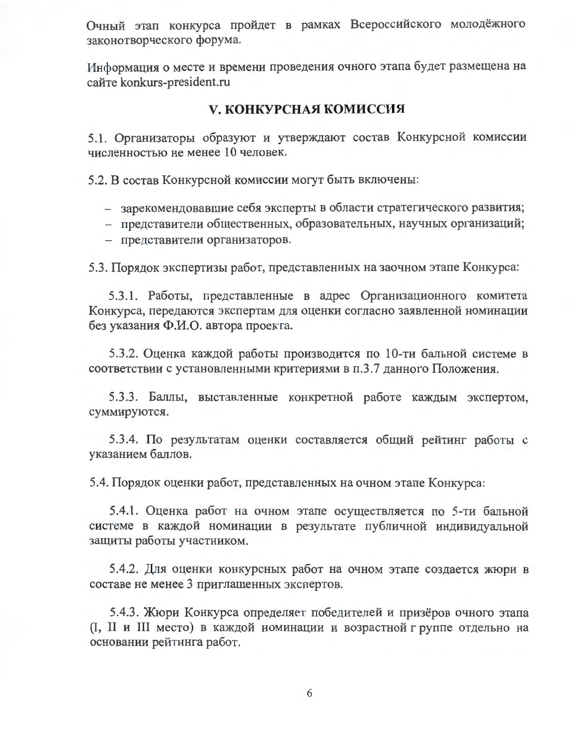Очный этап конкурса пройдет в рамках Всероссийского молодёжного законотворческого форума.

Информация о месте и времени проведения очного этапа будет размещена на сайте konkurs-president.ru

#### У. КОНКУРСНАЯ КОМИССИЯ

5.1. Организаторы образуют и утверждают состав Конкурсной комиссии численностью не менее 10 человек.

5.2. В состав Конкурсной комиссии могут быть включены:

- зарекомендовавшие себя эксперты в области стратегического развития;
- представители общественных, образовательных, научных организаций;
- представители организаторов.

5.3. Порядок экспертизы работ, представленных на заочном этапе Конкурса:

5.3.1. Работы, представленные в адрес Организационного комитета Конкурса, передаются экспертам для оценки согласно заявленной номинации без указания Ф.И.О. автора проекта.

5.3.2. Оценка каждой работы производится по 10-ти бальной системе в соответствии с установленными критериями в п.3.7 данного Положения.

5.3.3. Баллы, выставленные конкретной работе каждым экспертом, суммируются.

5.3.4. По результатам оценки составляется общий рейтинг работы с указанием баллов.

5.4. Порядок оценки работ, представленных на очном этапе Конкурса:

5.4.1. Оценка работ на очном этапе осуществляется по 5-ти бальной системе в каждой номинации в результате публичной индивидуальной защиты работы участником.

5.4.2. Для оценки конкурсных работ на очном этапе создается жюри в составе не менее 3 приглашенных экспертов.

5.4.3. Жюри Конкурса определяет победителей и призёров очного этапа (I, II и III место) в каждой номинации и возрастной группе отдельно на основании рейтинга работ.

6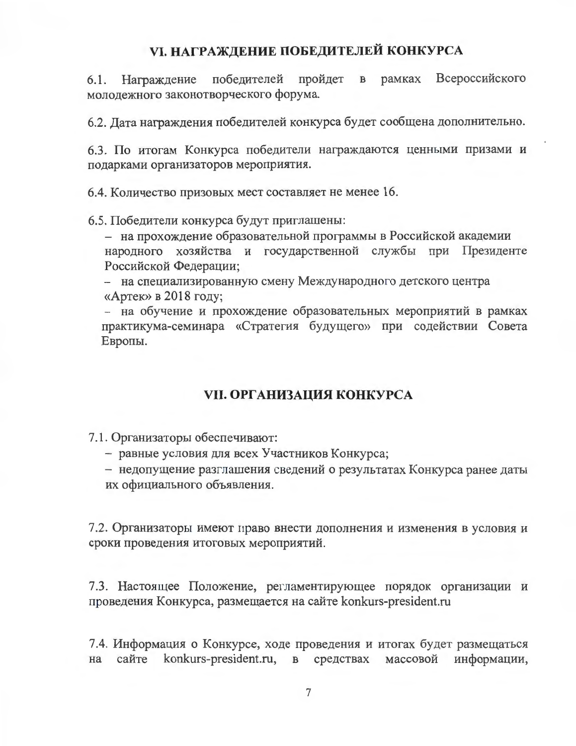# **VI. НАГРАЖДЕНИЕ ПОБЕДИТЕЛЕЙ КОНКУРСА**

победителей пройдет в рамках Всероссийского 6.1. Награждение молодежного законотворческого форума.

6.2. Дата награждения победителей конкурса будет сообщена дополнительно.

6.3. По итогам Конкурса победители награждаются ценными призами и подарками организаторов мероприятия.

6.4. Количество призовых мест составляет не менее 16.

6.5. Победители конкурса будут приглашены:

- на прохождение образовательной программы в Российской академии народного хозяйства и государственной службы при Президенте Российской Федерации;

- на специализированную смену Международного детского центра «Артек» в 2018 году;

- на обучение и прохождение образовательных мероприятий в рамках практикума-семинара «Стратегия будущего» при содействии Совета Европы.

## **VII. ОРГАНИЗАЦИЯ КОНКУРСА**

7.1. Организаторы обеспечивают:

- равные условия для всех Участников Конкурса;
- недопущение разглашения сведений о результатах Конкурса ранее даты их официального объявления.

7.2. Организаторы имеют право внести дополнения и изменения в условия и сроки проведения итоговых мероприятий.

7.3. Настоящее Положение, регламентирующее порядок организации и проведения Конкурса, размещается на сайте konkurs-president.ru

7.4. Информация о Конкурсе, ходе проведения и итогах будет размещаться konkurs-president.ru, в средствах массовой сайте информации, на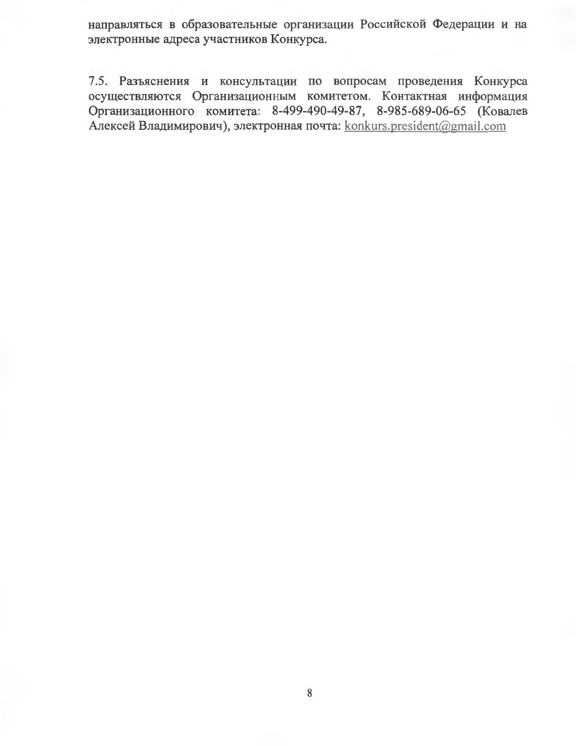направляться в образовательные организации Российской Федерации и на электронные адреса участников Конкурса.

7.5. Разъяснения и консультации по вопросам проведения Конкурса осуществляются Организационным комитетом. Контактная информация Организационного комитета: 8-499-490-49-87, 8-985-689-06-65 (Ковалев Алексей Владимирович), электронная почта: konkurs.president@gmail.com